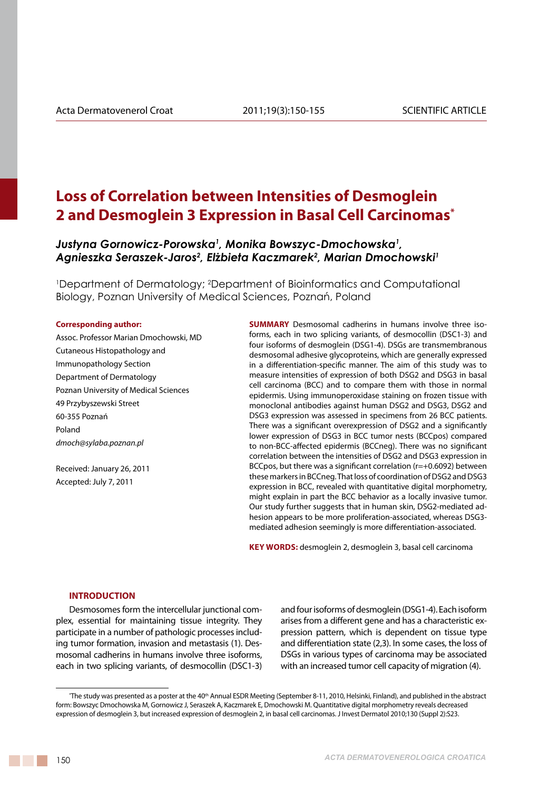# **Loss of Correlation between Intensities of Desmoglein 2 and Desmoglein 3 Expression in Basal Cell Carcinomas\***

*Justyna Gornowicz-Porowska1 , Monika Bowszyc-Dmochowska1 , Agnieszka Seraszek-Jaros2 , Elżbieta Kaczmarek<sup>2</sup> , Marian Dmochowski1*

1 Department of Dermatology; 2 Department of Bioinformatics and Computational Biology, Poznan University of Medical Sciences, Poznań, Poland

#### **Corresponding author:**

Assoc. Professor Marian Dmochowski, MD Cutaneous Histopathology and Immunopathology Section Department of Dermatology Poznan University of Medical Sciences 49 Przybyszewski Street 60-355 Poznań Poland *dmoch@sylaba.poznan.pl*

Received: January 26, 2011 Accepted: July 7, 2011

**SUMMARY** Desmosomal cadherins in humans involve three isoforms, each in two splicing variants, of desmocollin (DSC1-3) and four isoforms of desmoglein (DSG1-4). DSGs are transmembranous desmosomal adhesive glycoproteins, which are generally expressed in a differentiation-specific manner. The aim of this study was to measure intensities of expression of both DSG2 and DSG3 in basal cell carcinoma (BCC) and to compare them with those in normal epidermis. Using immunoperoxidase staining on frozen tissue with monoclonal antibodies against human DSG2 and DSG3, DSG2 and DSG3 expression was assessed in specimens from 26 BCC patients. There was a significant overexpression of DSG2 and a significantly lower expression of DSG3 in BCC tumor nests (BCCpos) compared to non-BCC-affected epidermis (BCCneg). There was no significant correlation between the intensities of DSG2 and DSG3 expression in BCCpos, but there was a significant correlation (r=+0.6092) between these markers in BCCneg. That loss of coordination of DSG2 and DSG3 expression in BCC, revealed with quantitative digital morphometry, might explain in part the BCC behavior as a locally invasive tumor. Our study further suggests that in human skin, DSG2-mediated adhesion appears to be more proliferation-associated, whereas DSG3 mediated adhesion seemingly is more differentiation-associated.

KEY WORDS: desmoglein 2, desmoglein 3, basal cell carcinoma

### **INTRODUCTION**

Desmosomes form the intercellular junctional complex, essential for maintaining tissue integrity. They participate in a number of pathologic processes including tumor formation, invasion and metastasis (1). Desmosomal cadherins in humans involve three isoforms, each in two splicing variants, of desmocollin (DSC1-3) and four isoforms of desmoglein (DSG1-4). Each isoform arises from a different gene and has a characteristic expression pattern, which is dependent on tissue type and differentiation state (2,3). In some cases, the loss of DSGs in various types of carcinoma may be associated with an increased tumor cell capacity of migration (4).

<sup>&#</sup>x27;The study was presented as a poster at the 40<sup>th</sup> Annual ESDR Meeting (September 8-11, 2010, Helsinki, Finland), and published in the abstract form: Bowszyc Dmochowska M, Gornowicz J, Seraszek A, Kaczmarek E, Dmochowski M. Quantitative digital morphometry reveals decreased expression of desmoglein 3, but increased expression of desmoglein 2, in basal cell carcinomas. J Invest Dermatol 2010;130 (Suppl 2):S23.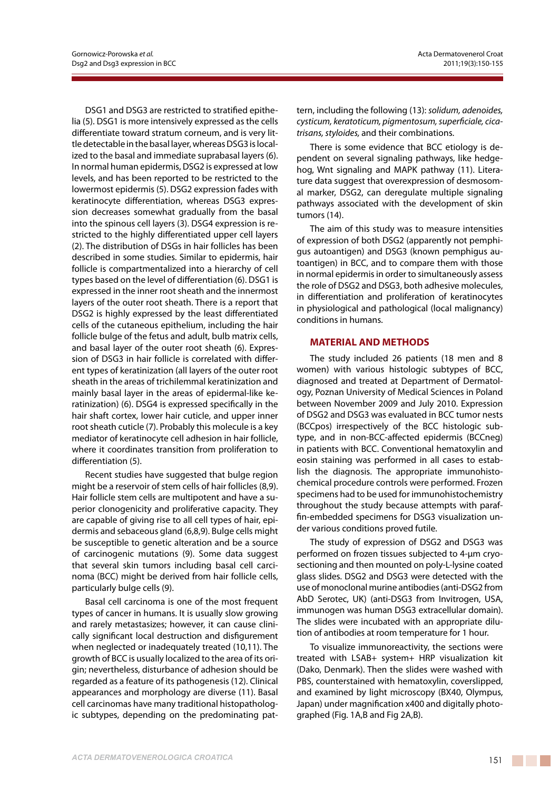DSG1 and DSG3 are restricted to stratified epithelia (5). DSG1 is more intensively expressed as the cells differentiate toward stratum corneum, and is very little detectable in the basal layer, whereas DSG3 is localized to the basal and immediate suprabasal layers (6). In normal human epidermis, DSG2 is expressed at low levels, and has been reported to be restricted to the lowermost epidermis (5). DSG2 expression fades with keratinocyte differentiation, whereas DSG3 expression decreases somewhat gradually from the basal into the spinous cell layers (3). DSG4 expression is restricted to the highly differentiated upper cell layers (2). The distribution of DSGs in hair follicles has been described in some studies. Similar to epidermis, hair follicle is compartmentalized into a hierarchy of cell types based on the level of differentiation (6). DSG1 is expressed in the inner root sheath and the innermost layers of the outer root sheath. There is a report that DSG2 is highly expressed by the least differentiated cells of the cutaneous epithelium, including the hair follicle bulge of the fetus and adult, bulb matrix cells, and basal layer of the outer root sheath (6). Expression of DSG3 in hair follicle is correlated with different types of keratinization (all layers of the outer root sheath in the areas of trichilemmal keratinization and mainly basal layer in the areas of epidermal-like keratinization) (6). DSG4 is expressed specifically in the hair shaft cortex, lower hair cuticle, and upper inner root sheath cuticle (7). Probably this molecule is a key mediator of keratinocyte cell adhesion in hair follicle, where it coordinates transition from proliferation to differentiation (5).

Recent studies have suggested that bulge region might be a reservoir of stem cells of hair follicles (8,9). Hair follicle stem cells are multipotent and have a superior clonogenicity and proliferative capacity. They are capable of giving rise to all cell types of hair, epidermis and sebaceous gland (6,8,9). Bulge cells might be susceptible to genetic alteration and be a source of carcinogenic mutations (9). Some data suggest that several skin tumors including basal cell carcinoma (BCC) might be derived from hair follicle cells, particularly bulge cells (9).

Basal cell carcinoma is one of the most frequent types of cancer in humans. It is usually slow growing and rarely metastasizes; however, it can cause clinically significant local destruction and disfigurement when neglected or inadequately treated (10,11). The growth of BCC is usually localized to the area of its origin; nevertheless, disturbance of adhesion should be regarded as a feature of its pathogenesis (12). Clinical appearances and morphology are diverse (11). Basal cell carcinomas have many traditional histopathologic subtypes, depending on the predominating pattern, including the following (13): *solidum, adenoides, cysticum, keratoticum, pigmentosum, superficiale, cicatrisans, styloides,* and their combinations.

There is some evidence that BCC etiology is dependent on several signaling pathways, like hedgehog, Wnt signaling and MAPK pathway (11). Literature data suggest that overexpression of desmosomal marker, DSG2, can deregulate multiple signaling pathways associated with the development of skin tumors (14).

The aim of this study was to measure intensities of expression of both DSG2 (apparently not pemphigus autoantigen) and DSG3 (known pemphigus autoantigen) in BCC, and to compare them with those in normal epidermis in order to simultaneously assess the role of DSG2 and DSG3, both adhesive molecules, in differentiation and proliferation of keratinocytes in physiological and pathological (local malignancy) conditions in humans.

### **MATERIAL AND METHODS**

The study included 26 patients (18 men and 8 women) with various histologic subtypes of BCC, diagnosed and treated at Department of Dermatology, Poznan University of Medical Sciences in Poland between November 2009 and July 2010. Expression of DSG2 and DSG3 was evaluated in BCC tumor nests (BCCpos) irrespectively of the BCC histologic subtype, and in non-BCC-affected epidermis (BCCneg) in patients with BCC. Conventional hematoxylin and eosin staining was performed in all cases to establish the diagnosis. The appropriate immunohistochemical procedure controls were performed. Frozen specimens had to be used for immunohistochemistry throughout the study because attempts with paraffin-embedded specimens for DSG3 visualization under various conditions proved futile.

The study of expression of DSG2 and DSG3 was performed on frozen tissues subjected to 4-µm cryosectioning and then mounted on poly-L-lysine coated glass slides. DSG2 and DSG3 were detected with the use of monoclonal murine antibodies (anti-DSG2 from AbD Serotec, UK) (anti-DSG3 from Invitrogen, USA, immunogen was human DSG3 extracellular domain). The slides were incubated with an appropriate dilution of antibodies at room temperature for 1 hour.

To visualize immunoreactivity, the sections were treated with LSAB+ system+ HRP visualization kit (Dako, Denmark). Then the slides were washed with PBS, counterstained with hematoxylin, coverslipped, and examined by light microscopy (BX40, Olympus, Japan) under magnification x400 and digitally photographed (Fig. 1A,B and Fig 2A,B).

a da ka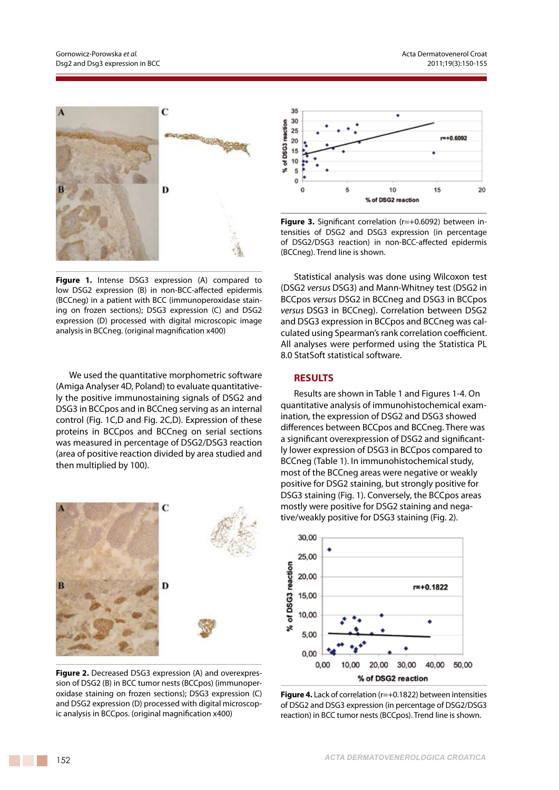

**Figure 1.** Intense DSG3 expression (A) compared to low DSG2 expression (B) in non-BCC-affected epidermis (BCCneg) in a patient with BCC (immunoperoxidase staining on frozen sections); DSG3 expression (C) and DSG2 expression (D) processed with digital microscopic image analysis in BCCneg. (original magnification x400)

We used the quantitative morphometric software (Amiga Analyser 4D, Poland) to evaluate quantitatively the positive immunostaining signals of DSG2 and DSG3 in BCCpos and in BCCneg serving as an internal control (Fig. 1C,D and Fig. 2C,D). Expression of these proteins in BCCpos and BCCneg on serial sections was measured in percentage of DSG2/DSG3 reaction (area of positive reaction divided by area studied and then multiplied by 100).



**Figure 2.** Decreased DSG3 expression (A) and overexpression of DSG2 (B) in BCC tumor nests (BCCpos) (immunoperoxidase staining on frozen sections); DSG3 expression (C) and DSG2 expression (D) processed with digital microscopic analysis in BCCpos. (original magnification x400)



**Figure 3.** Significant correlation (r=+0.6092) between intensities of DSG2 and DSG3 expression (in percentage of DSG2/DSG3 reaction) in non-BCC-affected epidermis (BCCneg). Trend line is shown.

Statistical analysis was done using Wilcoxon test (DSG2 *versus* DSG3) and Mann-Whitney test (DSG2 in BCCpos *versus* DSG2 in BCCneg and DSG3 in BCCpos *versus* DSG3 in BCCneg). Correlation between DSG2 and DSG3 expression in BCCpos and BCCneg was calculated using Spearman's rank correlation coefficient. All analyses were performed using the Statistica PL 8.0 StatSoft statistical software.

### **RESULTS**

Results are shown in Table 1 and Figures 1-4. On quantitative analysis of immunohistochemical examination, the expression of DSG2 and DSG3 showed differences between BCCpos and BCCneg. There was a significant overexpression of DSG2 and significantly lower expression of DSG3 in BCCpos compared to BCCneg (Table 1). In immunohistochemical study, most of the BCCneg areas were negative or weakly positive for DSG2 staining, but strongly positive for DSG3 staining (Fig. 1). Conversely, the BCCpos areas mostly were positive for DSG2 staining and negative/weakly positive for DSG3 staining (Fig. 2).



**Figure 4.** Lack of correlation (r=+0.1822) between intensities of DSG2 and DSG3 expression (in percentage of DSG2/DSG3 reaction) in BCC tumor nests (BCCpos). Trend line is shown.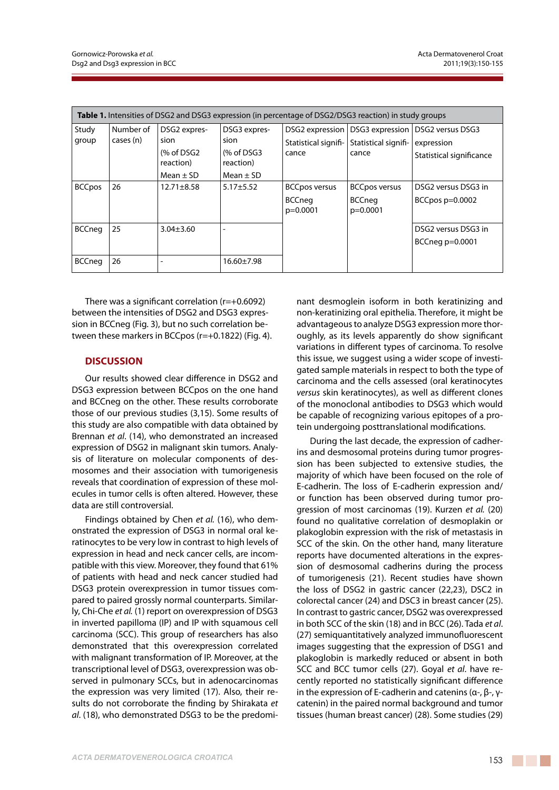| <b>Table 1.</b> Intensities of DSG2 and DSG3 expression (in percentage of DSG2/DSG3 reaction) in study groups |                        |                                                                   |                                                                   |                                                     |                                                     |                                                                              |
|---------------------------------------------------------------------------------------------------------------|------------------------|-------------------------------------------------------------------|-------------------------------------------------------------------|-----------------------------------------------------|-----------------------------------------------------|------------------------------------------------------------------------------|
| Study<br>group                                                                                                | Number of<br>cases (n) | DSG2 expres-<br>sion<br>$%$ of DSG2<br>reaction)<br>Mean $\pm$ SD | DSG3 expres-<br>sion<br>$%$ of DSG3<br>reaction)<br>Mean $\pm$ SD | DSG2 expression  <br>Statistical signifi-<br>cance  | Statistical signifi-<br>cance                       | DSG3 expression   DSG2 versus DSG3<br>expression<br>Statistical significance |
| <b>BCCpos</b>                                                                                                 | 26                     | $12.71 \pm 8.58$                                                  | $5.17 + 5.52$                                                     | <b>BCCpos versus</b><br><b>BCCneg</b><br>$p=0.0001$ | <b>BCCpos versus</b><br><b>BCCneg</b><br>$p=0.0001$ | DSG2 versus DSG3 in<br>BCCpos $p=0.0002$                                     |
| <b>BCCneg</b>                                                                                                 | 25                     | $3.04 \pm 3.60$                                                   | $\overline{\phantom{0}}$                                          |                                                     |                                                     | DSG2 versus DSG3 in<br>BCCneg $p=0.0001$                                     |
| <b>BCCneg</b>                                                                                                 | 26                     |                                                                   | $16.60 \pm 7.98$                                                  |                                                     |                                                     |                                                                              |

There was a significant correlation (r=+0.6092) between the intensities of DSG2 and DSG3 expression in BCCneg (Fig. 3), but no such correlation between these markers in BCCpos (r=+0.1822) (Fig. 4).

## **DISCUSSION**

Our results showed clear difference in DSG2 and DSG3 expression between BCCpos on the one hand and BCCneg on the other. These results corroborate those of our previous studies (3,15). Some results of this study are also compatible with data obtained by Brennan *et al*. (14), who demonstrated an increased expression of DSG2 in malignant skin tumors. Analysis of literature on molecular components of desmosomes and their association with tumorigenesis reveals that coordination of expression of these molecules in tumor cells is often altered. However, these data are still controversial.

Findings obtained by Chen *et al.* (16), who demonstrated the expression of DSG3 in normal oral keratinocytes to be very low in contrast to high levels of expression in head and neck cancer cells, are incompatible with this view. Moreover, they found that 61% of patients with head and neck cancer studied had DSG3 protein overexpression in tumor tissues compared to paired grossly normal counterparts. Similarly, Chi-Che *et al.* (1) report on overexpression of DSG3 in inverted papilloma (IP) and IP with squamous cell carcinoma (SCC). This group of researchers has also demonstrated that this overexpression correlated with malignant transformation of IP. Moreover, at the transcriptional level of DSG3, overexpression was observed in pulmonary SCCs, but in adenocarcinomas the expression was very limited (17). Also, their results do not corroborate the finding by Shirakata *et al*. (18), who demonstrated DSG3 to be the predominant desmoglein isoform in both keratinizing and non-keratinizing oral epithelia. Therefore, it might be advantageous to analyze DSG3 expression more thoroughly, as its levels apparently do show significant variations in different types of carcinoma. To resolve this issue, we suggest using a wider scope of investigated sample materials in respect to both the type of carcinoma and the cells assessed (oral keratinocytes *versus* skin keratinocytes), as well as different clones of the monoclonal antibodies to DSG3 which would be capable of recognizing various epitopes of a protein undergoing posttranslational modifications.

During the last decade, the expression of cadherins and desmosomal proteins during tumor progression has been subjected to extensive studies, the majority of which have been focused on the role of E-cadherin. The loss of E-cadherin expression and/ or function has been observed during tumor progression of most carcinomas (19). Kurzen *et al.* (20) found no qualitative correlation of desmoplakin or plakoglobin expression with the risk of metastasis in SCC of the skin. On the other hand, many literature reports have documented alterations in the expression of desmosomal cadherins during the process of tumorigenesis (21). Recent studies have shown the loss of DSG2 in gastric cancer (22,23), DSC2 in colorectal cancer (24) and DSC3 in breast cancer (25). In contrast to gastric cancer, DSG2 was overexpressed in both SCC of the skin (18) and in BCC (26). Tada *et al*. (27) semiquantitatively analyzed immunofluorescent images suggesting that the expression of DSG1 and plakoglobin is markedly reduced or absent in both SCC and BCC tumor cells (27). Goyal *et al*. have recently reported no statistically significant difference in the expression of E-cadherin and catenins (α-, β-, γcatenin) in the paired normal background and tumor tissues (human breast cancer) (28). Some studies (29)

a sa na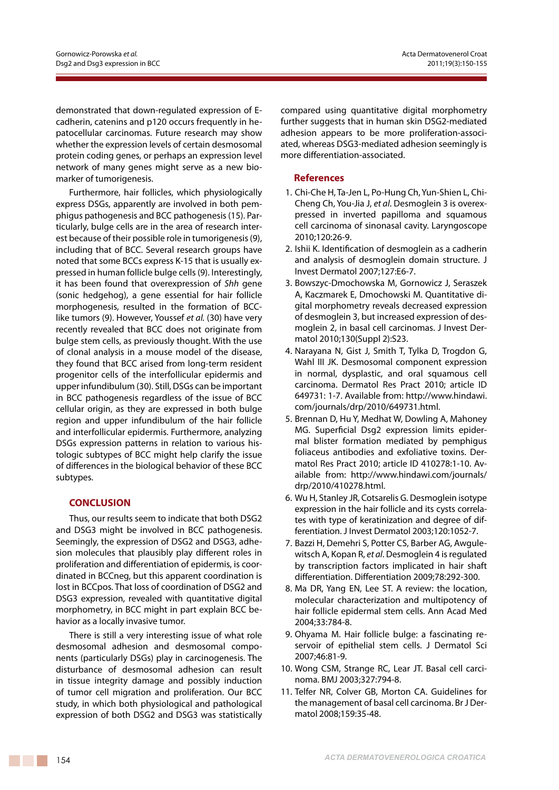demonstrated that down-regulated expression of Ecadherin, catenins and p120 occurs frequently in hepatocellular carcinomas. Future research may show whether the expression levels of certain desmosomal protein coding genes, or perhaps an expression level network of many genes might serve as a new biomarker of tumorigenesis.

Furthermore, hair follicles, which physiologically express DSGs, apparently are involved in both pemphigus pathogenesis and BCC pathogenesis (15). Particularly, bulge cells are in the area of research interest because of their possible role in tumorigenesis (9), including that of BCC. Several research groups have noted that some BCCs express K-15 that is usually expressed in human follicle bulge cells (9). Interestingly, it has been found that overexpression of *Shh* gene (sonic hedgehog), a gene essential for hair follicle morphogenesis, resulted in the formation of BCClike tumors (9). However, Youssef *et al.* (30) have very recently revealed that BCC does not originate from bulge stem cells, as previously thought. With the use of clonal analysis in a mouse model of the disease, they found that BCC arised from long-term resident progenitor cells of the interfollicular epidermis and upper infundibulum (30). Still, DSGs can be important in BCC pathogenesis regardless of the issue of BCC cellular origin, as they are expressed in both bulge region and upper infundibulum of the hair follicle and interfollicular epidermis. Furthermore, analyzing DSGs expression patterns in relation to various histologic subtypes of BCC might help clarify the issue of differences in the biological behavior of these BCC subtypes.

## **CONCLUSION**

Thus, our results seem to indicate that both DSG2 and DSG3 might be involved in BCC pathogenesis. Seemingly, the expression of DSG2 and DSG3, adhesion molecules that plausibly play different roles in proliferation and differentiation of epidermis, is coordinated in BCCneg, but this apparent coordination is lost in BCCpos. That loss of coordination of DSG2 and DSG3 expression, revealed with quantitative digital morphometry, in BCC might in part explain BCC behavior as a locally invasive tumor.

There is still a very interesting issue of what role desmosomal adhesion and desmosomal components (particularly DSGs) play in carcinogenesis. The disturbance of desmosomal adhesion can result in tissue integrity damage and possibly induction of tumor cell migration and proliferation. Our BCC study, in which both physiological and pathological expression of both DSG2 and DSG3 was statistically

compared using quantitative digital morphometry further suggests that in human skin DSG2-mediated adhesion appears to be more proliferation-associated, whereas DSG3-mediated adhesion seemingly is more differentiation-associated.

## **References**

- 1. Chi-Che H, Ta-Jen L, Po-Hung Ch, Yun-Shien L, Chi-Cheng Ch, You-Jia J, *et al*. Desmoglein 3 is overexpressed in inverted papilloma and squamous cell carcinoma of sinonasal cavity. Laryngoscope 2010;120:26-9.
- 2. Ishii K. Identification of desmoglein as a cadherin and analysis of desmoglein domain structure. J Invest Dermatol 2007;127:E6-7.
- 3. Bowszyc-Dmochowska M, Gornowicz J, Seraszek A, Kaczmarek E, Dmochowski M. Quantitative digital morphometry reveals decreased expression of desmoglein 3, but increased expression of desmoglein 2, in basal cell carcinomas. J Invest Dermatol 2010;130(Suppl 2):S23.
- 4. Narayana N, Gist J, Smith T, Tylka D, Trogdon G, Wahl III JK. Desmosomal component expression in normal, dysplastic, and oral squamous cell carcinoma. Dermatol Res Pract 2010; article ID 649731: 1-7. Available from: http://www.hindawi. com/journals/drp/2010/649731.html.
- 5. Brennan D, Hu Y, Medhat W, Dowling A, Mahoney MG. Superficial Dsg2 expression limits epidermal blister formation mediated by pemphigus foliaceus antibodies and exfoliative toxins. Dermatol Res Pract 2010; article ID 410278:1-10. Available from: http://www.hindawi.com/journals/ drp/2010/410278.html.
- 6. Wu H, Stanley JR, Cotsarelis G. Desmoglein isotype expression in the hair follicle and its cysts correlates with type of keratinization and degree of differentiation. J Invest Dermatol 2003;120:1052-7.
- 7. Bazzi H, Demehri S, Potter CS, Barber AG, Awgulewitsch A, Kopan R, *et al*. Desmoglein 4 is regulated by transcription factors implicated in hair shaft differentiation. Differentiation 2009;78:292-300.
- 8. Ma DR, Yang EN, Lee ST. A review: the location, molecular characterization and multipotency of hair follicle epidermal stem cells. Ann Acad Med 2004;33:784-8.
- 9. Ohyama M. Hair follicle bulge: a fascinating reservoir of epithelial stem cells. J Dermatol Sci 2007;46:81-9.
- 10. Wong CSM, Strange RC, Lear JT. Basal cell carcinoma. BMJ 2003;327:794-8.
- 11. Telfer NR, Colver GB, Morton CA. Guidelines for the management of basal cell carcinoma. Br J Dermatol 2008;159:35-48.